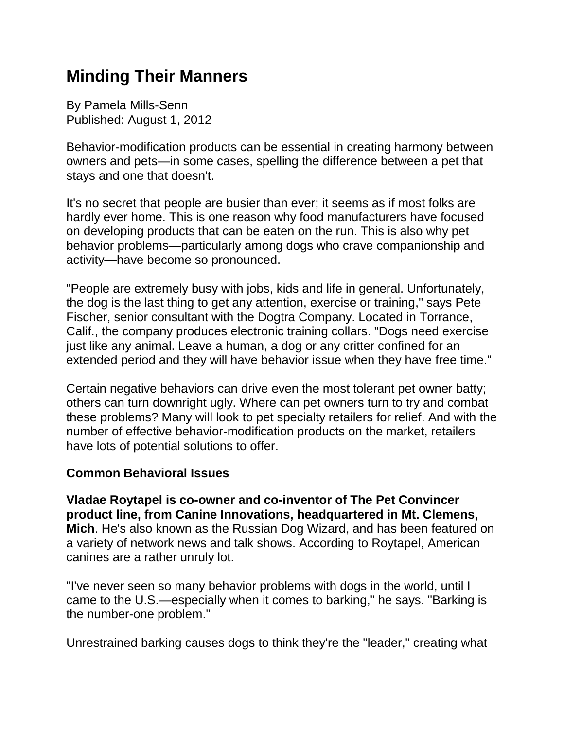## **Minding Their Manners**

By Pamela Mills-Senn Published: August 1, 2012

Behavior-modification products can be essential in creating harmony between owners and pets—in some cases, spelling the difference between a pet that stays and one that doesn't.

It's no secret that people are busier than ever; it seems as if most folks are hardly ever home. This is one reason why food manufacturers have focused on developing products that can be eaten on the run. This is also why pet behavior problems—particularly among dogs who crave companionship and activity—have become so pronounced.

"People are extremely busy with jobs, kids and life in general. Unfortunately, the dog is the last thing to get any attention, exercise or training," says Pete Fischer, senior consultant with the Dogtra Company. Located in Torrance, Calif., the company produces electronic training collars. "Dogs need exercise just like any animal. Leave a human, a dog or any critter confined for an extended period and they will have behavior issue when they have free time."

Certain negative behaviors can drive even the most tolerant pet owner batty; others can turn downright ugly. Where can pet owners turn to try and combat these problems? Many will look to pet specialty retailers for relief. And with the number of effective behavior-modification products on the market, retailers have lots of potential solutions to offer.

## **Common Behavioral Issues**

**Vladae Roytapel is co-owner and co-inventor of The Pet Convincer product line, from Canine Innovations, headquartered in Mt. Clemens, Mich**. He's also known as the Russian Dog Wizard, and has been featured on a variety of network news and talk shows. According to Roytapel, American canines are a rather unruly lot.

"I've never seen so many behavior problems with dogs in the world, until I came to the U.S.—especially when it comes to barking," he says. "Barking is the number-one problem."

Unrestrained barking causes dogs to think they're the "leader," creating what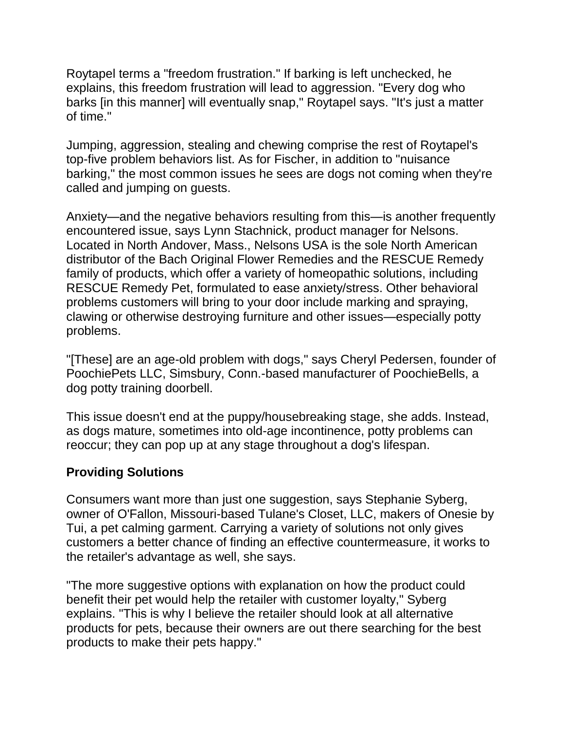Roytapel terms a "freedom frustration." If barking is left unchecked, he explains, this freedom frustration will lead to aggression. "Every dog who barks [in this manner] will eventually snap," Roytapel says. "It's just a matter of time."

Jumping, aggression, stealing and chewing comprise the rest of Roytapel's top-five problem behaviors list. As for Fischer, in addition to "nuisance barking," the most common issues he sees are dogs not coming when they're called and jumping on guests.

Anxiety—and the negative behaviors resulting from this—is another frequently encountered issue, says Lynn Stachnick, product manager for Nelsons. Located in North Andover, Mass., Nelsons USA is the sole North American distributor of the Bach Original Flower Remedies and the RESCUE Remedy family of products, which offer a variety of homeopathic solutions, including RESCUE Remedy Pet, formulated to ease anxiety/stress. Other behavioral problems customers will bring to your door include marking and spraying, clawing or otherwise destroying furniture and other issues—especially potty problems.

"[These] are an age-old problem with dogs," says Cheryl Pedersen, founder of PoochiePets LLC, Simsbury, Conn.-based manufacturer of PoochieBells, a dog potty training doorbell.

This issue doesn't end at the puppy/housebreaking stage, she adds. Instead, as dogs mature, sometimes into old-age incontinence, potty problems can reoccur; they can pop up at any stage throughout a dog's lifespan.

## **Providing Solutions**

Consumers want more than just one suggestion, says Stephanie Syberg, owner of O'Fallon, Missouri-based Tulane's Closet, LLC, makers of Onesie by Tui, a pet calming garment. Carrying a variety of solutions not only gives customers a better chance of finding an effective countermeasure, it works to the retailer's advantage as well, she says.

"The more suggestive options with explanation on how the product could benefit their pet would help the retailer with customer loyalty," Syberg explains. "This is why I believe the retailer should look at all alternative products for pets, because their owners are out there searching for the best products to make their pets happy."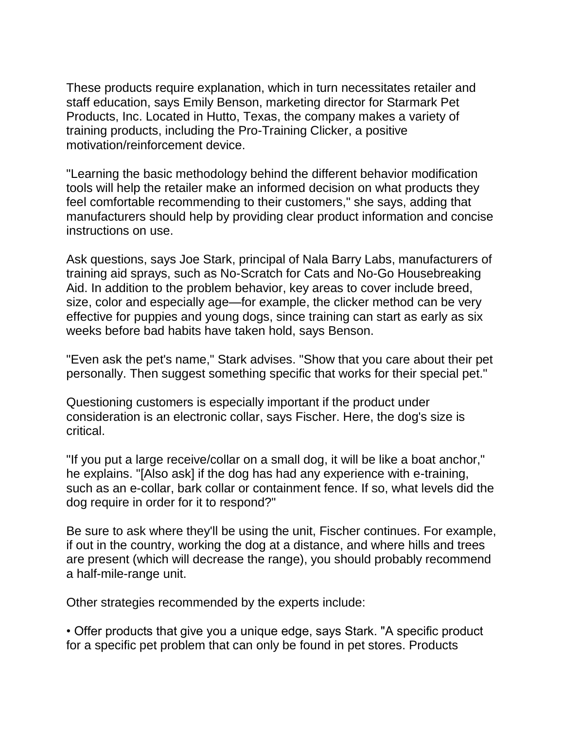These products require explanation, which in turn necessitates retailer and staff education, says Emily Benson, marketing director for Starmark Pet Products, Inc. Located in Hutto, Texas, the company makes a variety of training products, including the Pro-Training Clicker, a positive motivation/reinforcement device.

"Learning the basic methodology behind the different behavior modification tools will help the retailer make an informed decision on what products they feel comfortable recommending to their customers," she says, adding that manufacturers should help by providing clear product information and concise instructions on use.

Ask questions, says Joe Stark, principal of Nala Barry Labs, manufacturers of training aid sprays, such as No-Scratch for Cats and No-Go Housebreaking Aid. In addition to the problem behavior, key areas to cover include breed, size, color and especially age—for example, the clicker method can be very effective for puppies and young dogs, since training can start as early as six weeks before bad habits have taken hold, says Benson.

"Even ask the pet's name," Stark advises. "Show that you care about their pet personally. Then suggest something specific that works for their special pet."

Questioning customers is especially important if the product under consideration is an electronic collar, says Fischer. Here, the dog's size is critical.

"If you put a large receive/collar on a small dog, it will be like a boat anchor," he explains. "[Also ask] if the dog has had any experience with e-training, such as an e-collar, bark collar or containment fence. If so, what levels did the dog require in order for it to respond?"

Be sure to ask where they'll be using the unit, Fischer continues. For example, if out in the country, working the dog at a distance, and where hills and trees are present (which will decrease the range), you should probably recommend a half-mile-range unit.

Other strategies recommended by the experts include:

• Offer products that give you a unique edge, says Stark. "A specific product for a specific pet problem that can only be found in pet stores. Products